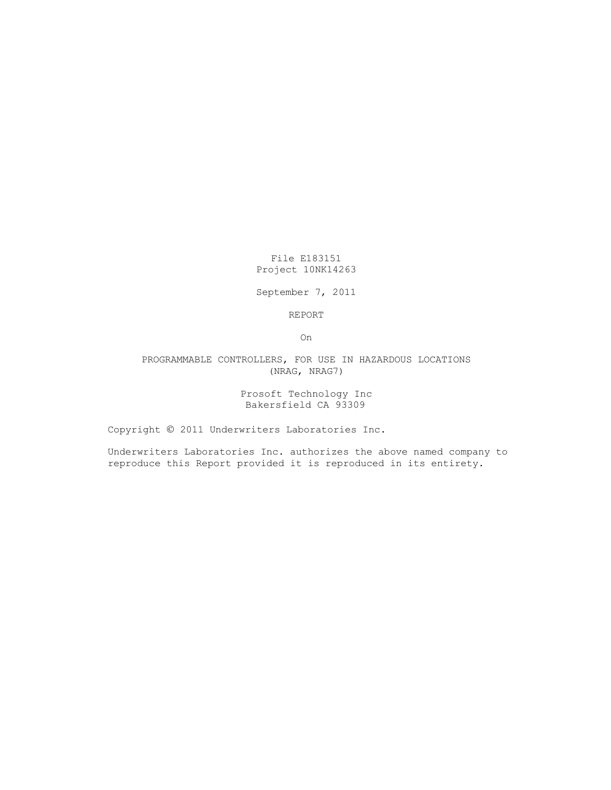File E183151 Project 10NK14263

September 7, 2011

REPORT

On

PROGRAMMABLE CONTROLLERS, FOR USE IN HAZARDOUS LOCATIONS (NRAG, NRAG7)

> Prosoft Technology Inc Bakersfield CA 93309

Copyright © 2011 Underwriters Laboratories Inc.

Underwriters Laboratories Inc. authorizes the above named company to reproduce this Report provided it is reproduced in its entirety.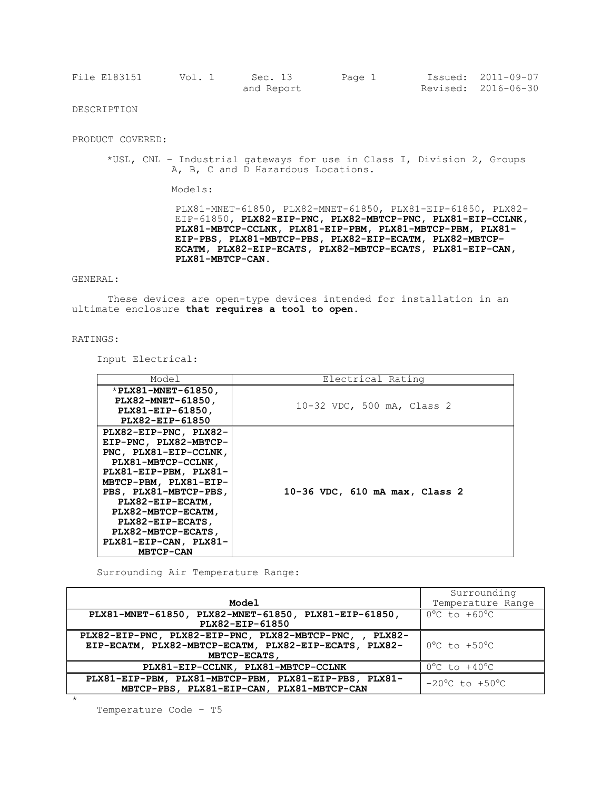| File E183151 | Vol. 1 | Sec. 13    | Page 1 | Issued: 2011-09-07  |
|--------------|--------|------------|--------|---------------------|
|              |        | and Report |        | Revised: 2016-06-30 |

DESCRIPTION

PRODUCT COVERED:

\*USL, CNL – Industrial gateways for use in Class I, Division 2, Groups A, B, C and D Hazardous Locations.

Models:

PLX81-MNET-61850, PLX82-MNET-61850, PLX81-EIP-61850, PLX82- EIP-61850**, PLX82-EIP-PNC, PLX82-MBTCP-PNC, PLX81-EIP-CCLNK, PLX81-MBTCP-CCLNK, PLX81-EIP-PBM, PLX81-MBTCP-PBM, PLX81- EIP-PBS, PLX81-MBTCP-PBS, PLX82-EIP-ECATM, PLX82-MBTCP-ECATM, PLX82-EIP-ECATS, PLX82-MBTCP-ECATS, PLX81-EIP-CAN, PLX81-MBTCP-CAN.**

## GENERAL:

These devices are open-type devices intended for installation in an ultimate enclosure **that requires a tool to open**.

## RATINGS:

Input Electrical:

| Model                                                                                                                                                                                                                                                                                                     | Electrical Rating              |
|-----------------------------------------------------------------------------------------------------------------------------------------------------------------------------------------------------------------------------------------------------------------------------------------------------------|--------------------------------|
| *PLX81-MNET-61850,<br>PLX82-MNET-61850,<br>PLX81-EIP-61850,<br>PLX82-EIP-61850                                                                                                                                                                                                                            | 10-32 VDC, 500 mA, Class 2     |
| PLX82-EIP-PNC, PLX82-<br>EIP-PNC, PLX82-MBTCP-<br>PNC, PLX81-EIP-CCLNK,<br>PLX81-MBTCP-CCLNK,<br>PLX81-EIP-PBM, PLX81-<br>MBTCP-PBM, PLX81-EIP-<br>PBS, PLX81-MBTCP-PBS,<br>PLX82-EIP-ECATM,<br>PLX82-MBTCP-ECATM,<br>PLX82-EIP-ECATS,<br>PLX82-MBTCP-ECATS,<br>PLX81-EIP-CAN, PLX81-<br><b>MBTCP-CAN</b> | 10-36 VDC, 610 mA max, Class 2 |

Surrounding Air Temperature Range:

|                                                                                                    | Surrounding                        |
|----------------------------------------------------------------------------------------------------|------------------------------------|
| <b>Model</b>                                                                                       | Temperature Range                  |
| PLX81-MNET-61850, PLX82-MNET-61850, PLX81-EIP-61850,                                               | $0^{\circ}$ C to +60 $^{\circ}$ C  |
| PLX82-EIP-61850                                                                                    |                                    |
| PLX82-EIP-PNC, PLX82-EIP-PNC, PLX82-MBTCP-PNC,<br><b>PLX82-</b>                                    |                                    |
| EIP-ECATM, PLX82-MBTCP-ECATM, PLX82-EIP-ECATS, PLX82-<br>MBTCP-ECATS,                              | $0^{\circ}$ C to $+50^{\circ}$ C   |
| PLX81-EIP-CCLNK, PLX81-MBTCP-CCLNK                                                                 | $0^{\circ}$ C to $+40^{\circ}$ C   |
|                                                                                                    |                                    |
| PLX81-EIP-PBM, PLX81-MBTCP-PBM, PLX81-EIP-PBS, PLX81-<br>MBTCP-PBS, PLX81-EIP-CAN, PLX81-MBTCP-CAN | $-20^{\circ}$ C to $+50^{\circ}$ C |
|                                                                                                    |                                    |

Temperature Code – T5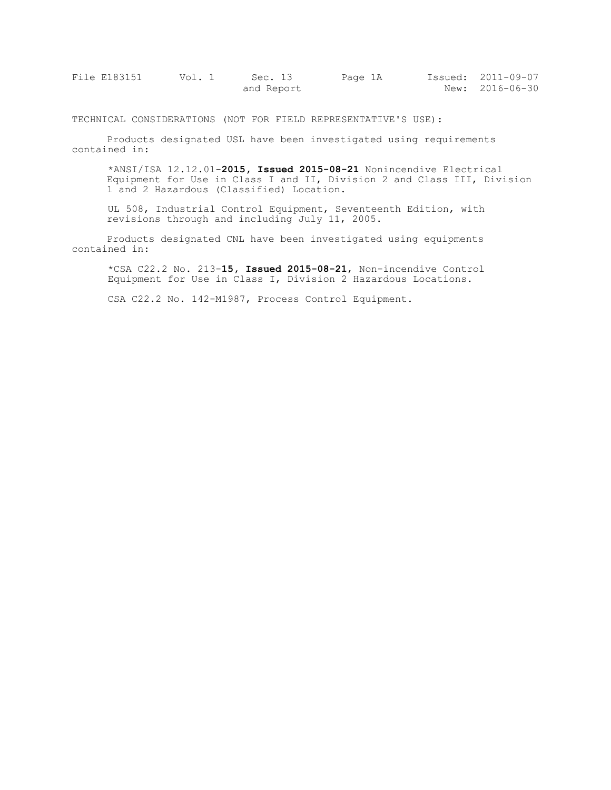| File E183151 | Vol. 1 | Sec. 13    | Page 1A | Issued: 2011-09-07 |
|--------------|--------|------------|---------|--------------------|
|              |        | and Report |         | New: 2016-06-30    |

TECHNICAL CONSIDERATIONS (NOT FOR FIELD REPRESENTATIVE'S USE):

Products designated USL have been investigated using requirements contained in:

\*ANSI/ISA 12.12.01-**2015, Issued 2015-08-21** Nonincendive Electrical Equipment for Use in Class I and II, Division 2 and Class III, Division 1 and 2 Hazardous (Classified) Location.

UL 508, Industrial Control Equipment, Seventeenth Edition, with revisions through and including July 11, 2005.

Products designated CNL have been investigated using equipments contained in:

\*CSA C22.2 No. 213-**15, Issued 2015-08-21**, Non-incendive Control Equipment for Use in Class I, Division 2 Hazardous Locations.

CSA C22.2 No. 142-M1987, Process Control Equipment.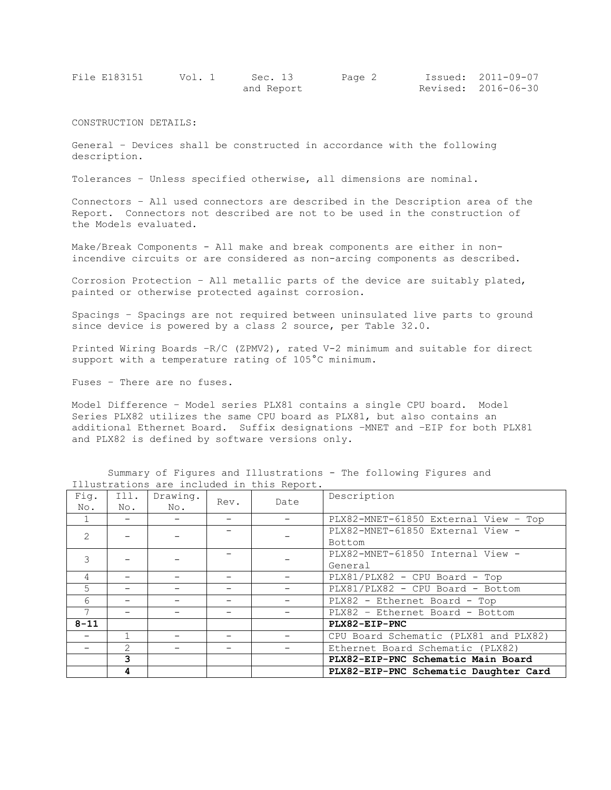| File E183151 | Vol. 1 | Sec. 13    | Page 2 | Issued: 2011-09-07  |
|--------------|--------|------------|--------|---------------------|
|              |        | and Report |        | Revised: 2016-06-30 |

CONSTRUCTION DETAILS:

General – Devices shall be constructed in accordance with the following description.

Tolerances – Unless specified otherwise, all dimensions are nominal.

Connectors – All used connectors are described in the Description area of the Report. Connectors not described are not to be used in the construction of the Models evaluated.

Make/Break Components - All make and break components are either in nonincendive circuits or are considered as non-arcing components as described.

Corrosion Protection – All metallic parts of the device are suitably plated, painted or otherwise protected against corrosion.

Spacings – Spacings are not required between uninsulated live parts to ground since device is powered by a class 2 source, per Table 32.0.

Printed Wiring Boards –R/C (ZPMV2), rated V-2 minimum and suitable for direct support with a temperature rating of 105°C minimum.

Fuses – There are no fuses.

Model Difference – Model series PLX81 contains a single CPU board. Model Series PLX82 utilizes the same CPU board as PLX81, but also contains an additional Ethernet Board. Suffix designations –MNET and –EIP for both PLX81 and PLX82 is defined by software versions only.

Summary of Figures and Illustrations - The following Figures and Illustrations are included in this Report.

| Fig.<br>No.    | Ill.<br>No. | Drawing.<br>No. | Rev. | Date | Description                           |  |  |
|----------------|-------------|-----------------|------|------|---------------------------------------|--|--|
|                |             |                 |      |      | PLX82-MNET-61850 External View - Top  |  |  |
| $\mathcal{L}$  |             |                 |      |      | PLX82-MNET-61850 External View -      |  |  |
|                |             |                 |      |      | Bottom                                |  |  |
| 3              |             |                 |      |      | PLX82-MNET-61850 Internal View -      |  |  |
|                |             |                 |      |      | General                               |  |  |
| 4              |             |                 |      |      | PLX81/PLX82 - CPU Board - Top         |  |  |
| 5              |             |                 |      |      | PLX81/PLX82 - CPU Board - Bottom      |  |  |
| 6              |             |                 |      |      | PLX82 - Ethernet Board - Top          |  |  |
| $\overline{7}$ |             |                 |      |      | PLX82 - Ethernet Board - Bottom       |  |  |
| $8 - 11$       |             |                 |      |      | PLX82-EIP-PNC                         |  |  |
|                |             |                 |      |      | CPU Board Schematic (PLX81 and PLX82) |  |  |
|                | 2           |                 |      |      | Ethernet Board Schematic (PLX82)      |  |  |
|                | 3           |                 |      |      | PLX82-EIP-PNC Schematic Main Board    |  |  |
|                | 4           |                 |      |      | PLX82-EIP-PNC Schematic Daughter Card |  |  |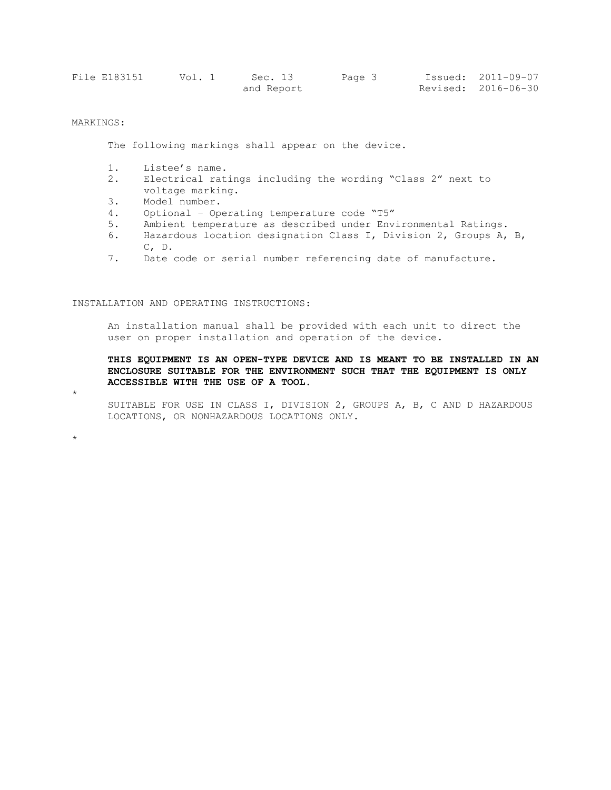| File E183151 | Vol. 1 | Sec. 13    | Page 3 | Issued: 2011-09-07  |
|--------------|--------|------------|--------|---------------------|
|              |        | and Report |        | Revised: 2016-06-30 |

## MARKINGS:

The following markings shall appear on the device.

- 1. Listee's name.
- 2. Electrical ratings including the wording "Class 2" next to voltage marking.
- 3. Model number.
- 4. Optional Operating temperature code "T5"
- 5. Ambient temperature as described under Environmental Ratings.
- 6. Hazardous location designation Class I, Division 2, Groups A, B, C, D.
- 7. Date code or serial number referencing date of manufacture.

INSTALLATION AND OPERATING INSTRUCTIONS:

An installation manual shall be provided with each unit to direct the user on proper installation and operation of the device.

**THIS EQUIPMENT IS AN OPEN-TYPE DEVICE AND IS MEANT TO BE INSTALLED IN AN ENCLOSURE SUITABLE FOR THE ENVIRONMENT SUCH THAT THE EQUIPMENT IS ONLY ACCESSIBLE WITH THE USE OF A TOOL.** 

\*

\*

SUITABLE FOR USE IN CLASS I, DIVISION 2, GROUPS A, B, C AND D HAZARDOUS LOCATIONS, OR NONHAZARDOUS LOCATIONS ONLY.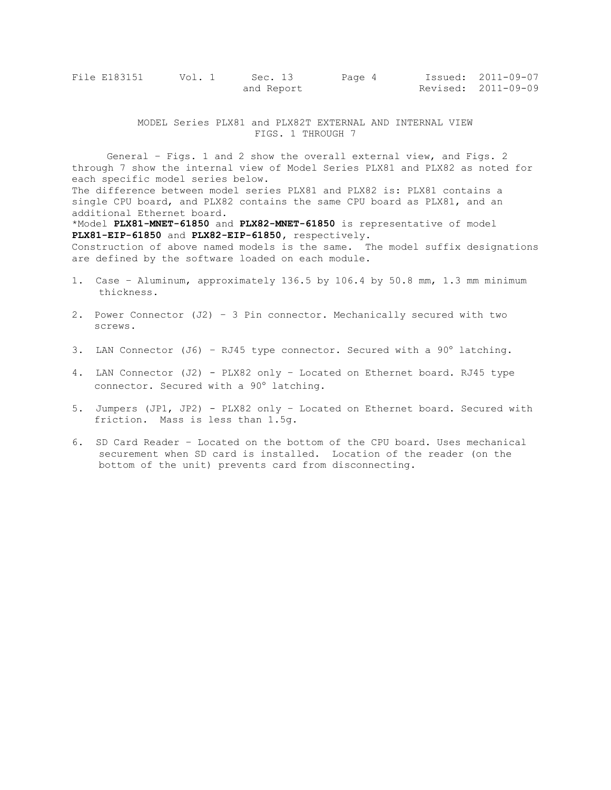| File E183151 | Vol. 1 | Sec. 13    | Page 4 | Issued: 2011-09-07  |
|--------------|--------|------------|--------|---------------------|
|              |        | and Report |        | Revised: 2011-09-09 |

MODEL Series PLX81 and PLX82T EXTERNAL AND INTERNAL VIEW FIGS. 1 THROUGH 7

General – Figs. 1 and 2 show the overall external view, and Figs. 2 through 7 show the internal view of Model Series PLX81 and PLX82 as noted for each specific model series below. The difference between model series PLX81 and PLX82 is: PLX81 contains a single CPU board, and PLX82 contains the same CPU board as PLX81, and an additional Ethernet board. \*Model **PLX81-MNET-61850** and **PLX82-MNET-61850** is representative of model **PLX81-EIP-61850** and **PLX82-EIP-61850,** respectively. Construction of above named models is the same. The model suffix designations are defined by the software loaded on each module.

- 1. Case Aluminum, approximately 136.5 by 106.4 by 50.8 mm, 1.3 mm minimum thickness.
- 2. Power Connector (J2) 3 Pin connector. Mechanically secured with two screws.
- 3. LAN Connector (J6) RJ45 type connector. Secured with a  $90^\circ$  latching.
- 4. LAN Connector (J2) PLX82 only Located on Ethernet board. RJ45 type connector. Secured with a 90° latching.
- 5. Jumpers (JP1, JP2) PLX82 only Located on Ethernet board. Secured with friction. Mass is less than 1.5g.
- 6. SD Card Reader Located on the bottom of the CPU board. Uses mechanical securement when SD card is installed. Location of the reader (on the bottom of the unit) prevents card from disconnecting.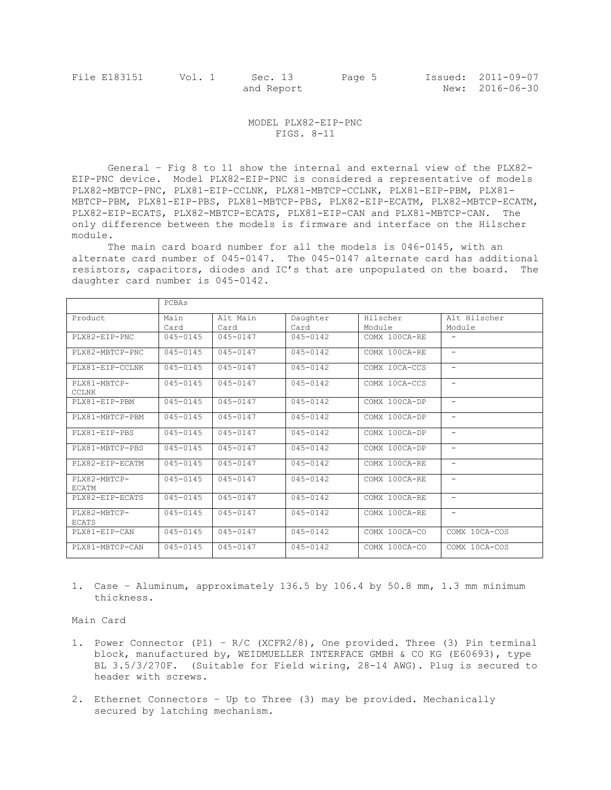## MODEL PLX82-EIP-PNC FIGS. 8-11

General – Fig 8 to 11 show the internal and external view of the PLX82- EIP-PNC device. Model PLX82-EIP-PNC is considered a representative of models PLX82-MBTCP-PNC, PLX81-EIP-CCLNK, PLX81-MBTCP-CCLNK, PLX81-EIP-PBM, PLX81- MBTCP-PBM, PLX81-EIP-PBS, PLX81-MBTCP-PBS, PLX82-EIP-ECATM, PLX82-MBTCP-ECATM, PLX82-EIP-ECATS, PLX82-MBTCP-ECATS, PLX81-EIP-CAN and PLX81-MBTCP-CAN. The only difference between the models is firmware and interface on the Hilscher module.

The main card board number for all the models is 046-0145, with an alternate card number of 045-0147. The 045-0147 alternate card has additional resistors, capacitors, diodes and IC's that are unpopulated on the board. The daughter card number is 045-0142.

|                              | PCBAS        |                     |              |               |                          |
|------------------------------|--------------|---------------------|--------------|---------------|--------------------------|
| Product                      | Main         | Alt Main            | Daughter     | Hilscher      | Alt Hilscher             |
|                              | Card         | Card                | Card         | Module        | Module                   |
| PLX82-EIP-PNC                | $045 - 0145$ | $045 - 0147$        | $045 - 0142$ | COMX 100CA-RE |                          |
| PLX82-MBTCP-PNC              | $045 - 0145$ | $045 - 0147$        | $045 - 0142$ | COMX 100CA-RE | $\overline{\phantom{0}}$ |
| PLX81-EIP-CCLNK              | $045 - 0145$ | $045 - 0147$        | $045 - 0142$ | COMX 10CA-CCS | $\overline{\phantom{0}}$ |
| PLX81-MBTCP-<br><b>CCLNK</b> | $045 - 0145$ | $045 - 0147$        | $045 - 0142$ | COMX 10CA-CCS | $\overline{\phantom{0}}$ |
| $PI.X81 - ETP - PRM$         | $045 - 0145$ | $045 - 0147$        | $045 - 0142$ | COMX 100CA-DP | $\equiv$                 |
| PLX81-MBTCP-PBM              | $045 - 0145$ | $045 - 0147$        | $045 - 0142$ | COMX 100CA-DP | -                        |
| $PI.X81 - ETP - PBS$         | $045 - 0145$ | $045 - 0147$        | $045 - 0142$ | COMX 100CA-DP | $\overline{\phantom{0}}$ |
| PLX81-MBTCP-PBS              | $045 - 0145$ | $045 - 0147$        | $045 - 0142$ | COMX 100CA-DP |                          |
| PLX82-EIP-ECATM              | $045 - 0145$ | $045 - 0147$        | $045 - 0142$ | COMX 100CA-RE | $\overline{\phantom{a}}$ |
| PLX82-MBTCP-<br><b>ECATM</b> | $045 - 0145$ | $045 - 0147$        | $045 - 0142$ | COMX 100CA-RE | $\overline{\phantom{0}}$ |
| PLX82-EIP-ECATS              | $045 - 0145$ | $045 - 0147$        | $045 - 0142$ | COMX 100CA-RE | $\qquad \qquad -$        |
| PLX82-MBTCP-<br>ECATS        | $045 - 0145$ | $\sqrt{045} - 0147$ | $045 - 0142$ | COMX 100CA-RE | $\overline{\phantom{0}}$ |
| PLX81-EIP-CAN                | 045-0145     | $045 - 0147$        | $045 - 0142$ | COMX 100CA-CO | COMX 10CA-COS            |
| PLX81-MBTCP-CAN              | 045-0145     | $045 - 0147$        | $045 - 0142$ | COMX 100CA-CO | COMX 10CA-COS            |

1. Case – Aluminum, approximately 136.5 by 106.4 by 50.8 mm, 1.3 mm minimum thickness.

Main Card

- 1. Power Connector (P1) R/C (XCFR2/8), One provided. Three (3) Pin terminal block, manufactured by, WEIDMUELLER INTERFACE GMBH & CO KG (E60693), type BL 3.5/3/270F. (Suitable for Field wiring, 28-14 AWG). Plug is secured to header with screws.
- 2. Ethernet Connectors Up to Three (3) may be provided. Mechanically secured by latching mechanism.